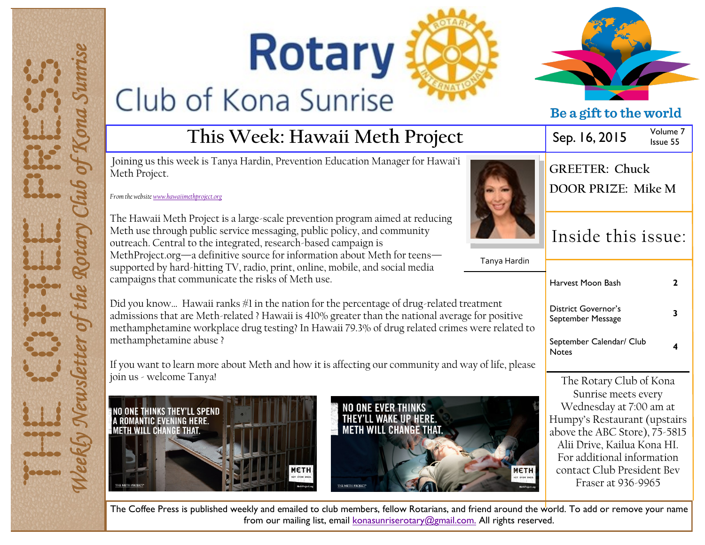# **Rotary** Club of Kona Sunrise





Fraser at 936-9965

|                                                                                                                                                                                                                                                   |                                                 | De a girt to the world                                                                                                     |                      |
|---------------------------------------------------------------------------------------------------------------------------------------------------------------------------------------------------------------------------------------------------|-------------------------------------------------|----------------------------------------------------------------------------------------------------------------------------|----------------------|
| This Week: Hawaii Meth Project                                                                                                                                                                                                                    |                                                 | Sep. 16, 2015                                                                                                              | Volume 7<br>Issue 55 |
| ek is Tanya Hardin, Prevention Education Manager for Hawai'i<br><u>ethproject.org</u>                                                                                                                                                             | <b>GREETER: Chuck</b><br>DOOR PRIZE: Mike M     |                                                                                                                            |                      |
| Project is a large-scale prevention program aimed at reducing<br>public service messaging, public policy, and community<br>to the integrated, research-based campaign is<br>-a definitive source for information about Meth for teens—            | Tanya Hardin                                    | Inside this issue:                                                                                                         |                      |
| l-hitting TV, radio, print, online, mobile, and social media<br>mmunicate the risks of Meth use.                                                                                                                                                  |                                                 | Harvest Moon Bash                                                                                                          | $\mathbf{2}$         |
| Iawaii ranks #1 in the nation for the percentage of drug-related treatment<br>re Meth-related ? Hawaii is 410% greater than the national average for positive<br>e workplace drug testing? In Hawaii 79.3% of drug related crimes were related to | <b>District Governor's</b><br>September Message | 3                                                                                                                          |                      |
| e abuse ?                                                                                                                                                                                                                                         |                                                 | September Calendar/ Club<br><b>Notes</b>                                                                                   | 4                    |
| n more about Meth and how it is affecting our community and way of life, please:                                                                                                                                                                  |                                                 |                                                                                                                            |                      |
| Tanya!<br><b>NO ONE EVER THINKS</b><br>LL SPEND                                                                                                                                                                                                   |                                                 | The Rotary Club of Kona<br>Sunrise meets every<br>Wednesday at 7:00 am at                                                  |                      |
| THEY'LL WAKE UP HERE.<br>HERE.<br><b>METH WILL CHANGE THAT.</b><br>HAT.                                                                                                                                                                           |                                                 | Humpy's Restaurant (upstairs<br>above the ABC Store), 75-5815<br>Alii Drive, Kailua Kona HI.<br>For additional information |                      |
| <b>МЕТН</b>                                                                                                                                                                                                                                       | <b>МЕТН</b>                                     | contact Club President Bev                                                                                                 |                      |

The Coffee Press is published weekly and emailed to club members, fellow Rotarians, and friend around the world. To add or remove your name from our mailing list, email [konasunriserotary@gmail.com.](mailto:konasunriserotary@gmail.com.) All rights reserved.

Joining us this week is Tanya H Meth Project.

*From the website [www.hawaiimethproject.org](http://www.hawaiimethproject.org)*

The Hawaii Meth Project is a large-Meth use through public service outreach. Central to the integrat MethProject.org—a definitive so supported by hard-hitting TV, r campaigns that communicate the

Did you know... Hawaii ranks # admissions that are Meth-relate methamphetamine workplace d methamphetamine abuse ?

If you want to learn more about join us - welcome Tanya!





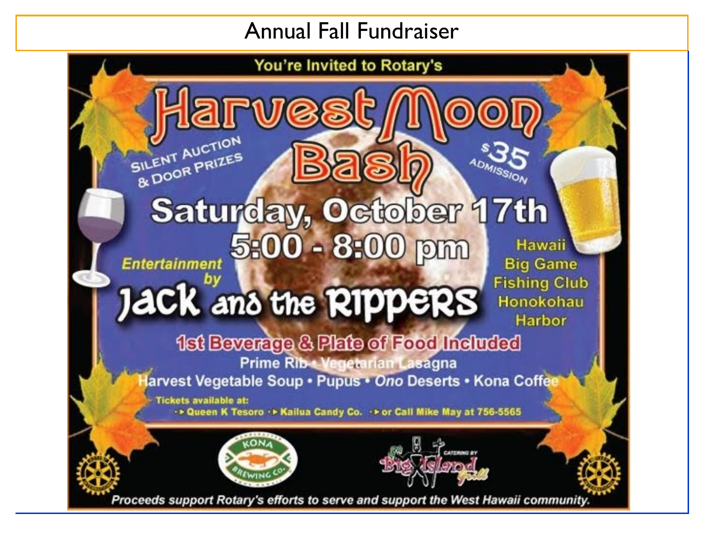### Annual Fall Fundraiser

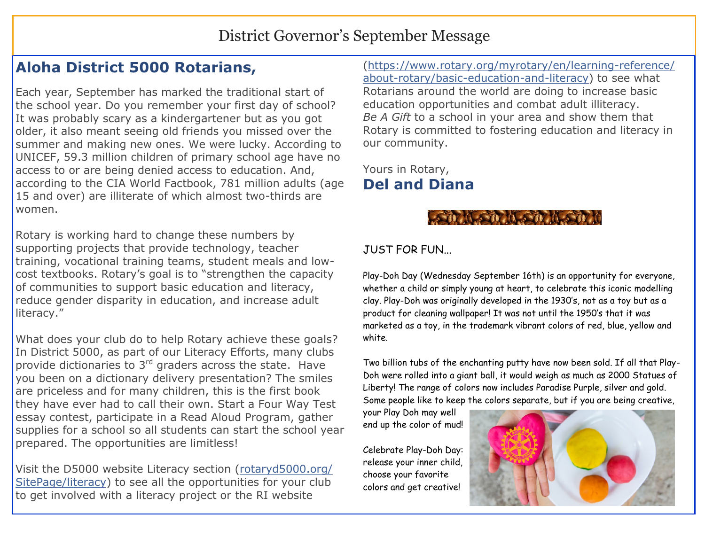#### District Governor's September Message

#### **Aloha District 5000 Rotarians,**

Each year, September has marked the traditional start of the school year. Do you remember your first day of school? It was probably scary as a kindergartener but as you got older, it also meant seeing old friends you missed over the summer and making new ones. We were lucky. According to UNICEF, 59.3 million children of primary school age have no access to or are being denied access to education. And, according to the CIA World Factbook, 781 million adults (age 15 and over) are illiterate of which almost two-thirds are women.

Rotary is working hard to change these numbers by supporting projects that provide technology, teacher training, vocational training teams, student meals and lowcost textbooks. Rotary's goal is to "strengthen the capacity of communities to support basic education and literacy, reduce gender disparity in education, and increase adult literacy."

What does your club do to help Rotary achieve these goals? In District 5000, as part of our Literacy Efforts, many clubs provide dictionaries to  $3<sup>rd</sup>$  graders across the state. Have you been on a dictionary delivery presentation? The smiles are priceless and for many children, this is the first book they have ever had to call their own. Start a Four Way Test essay contest, participate in a Read Aloud Program, gather supplies for a school so all students can start the school year prepared. The opportunities are limitless!

Visit the D5000 website Literacy section [\(rotaryd5000.org/](http://rotaryd5000.org/SitePage/literacy) [SitePage/literacy\)](http://rotaryd5000.org/SitePage/literacy) to see all the opportunities for your club to get involved with a literacy project or the RI website

[\(https://www.rotary.org/myrotary/en/learning-reference/](https://www.rotary.org/myrotary/en/learning-reference/about-rotary/basic-education-and-literacy) [about-rotary/basic-education-and-literacy\)](https://www.rotary.org/myrotary/en/learning-reference/about-rotary/basic-education-and-literacy) to see what Rotarians around the world are doing to increase basic education opportunities and combat adult illiteracy. *Be A Gift* to a school in your area and show them that Rotary is committed to fostering education and literacy in our community.

Yours in Rotary, **Del and Diana**

#### A STILA STILATE

#### JUST FOR FUN...

Play-Doh Day (Wednesday September 16th) is an opportunity for everyone, whether a child or simply young at heart, to celebrate this iconic modelling clay. Play-Doh was originally developed in the 1930's, not as a toy but as a product for cleaning wallpaper! It was not until the 1950's that it was marketed as a toy, in the trademark vibrant colors of red, blue, yellow and white.

Two billion tubs of the enchanting putty have now been sold. If all that Play-Doh were rolled into a giant ball, it would weigh as much as 2000 Statues of Liberty! The range of colors now includes Paradise Purple, silver and gold. Some people like to keep the colors separate, but if you are being creative,

your Play Doh may well end up the color of mud!

Celebrate Play-Doh Day: release your inner child, choose your favorite colors and get creative!